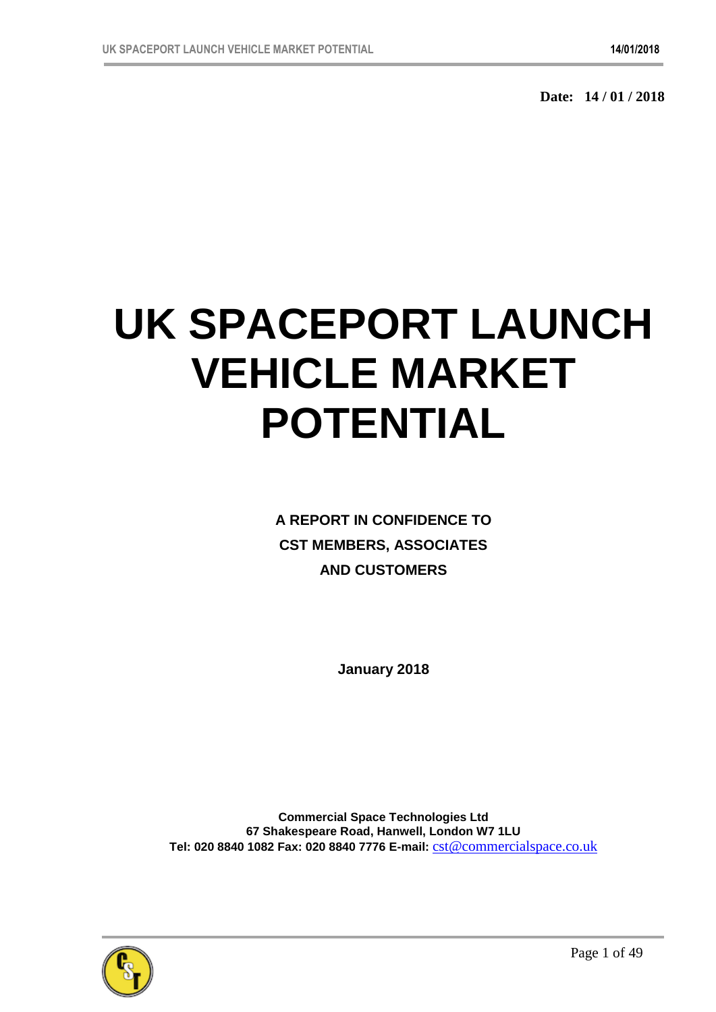**Date: 14 / 01 / 2018**

# **UK SPACEPORT LAUNCH VEHICLE MARKET POTENTIAL**

**A REPORT IN CONFIDENCE TO CST MEMBERS, ASSOCIATES AND CUSTOMERS**

**January 2018**

**Commercial Space Technologies Ltd 67 Shakespeare Road, Hanwell, London W7 1LU Tel: 020 8840 1082 Fax: 020 8840 7776 E-mail:** cst@commercialspace.co.uk

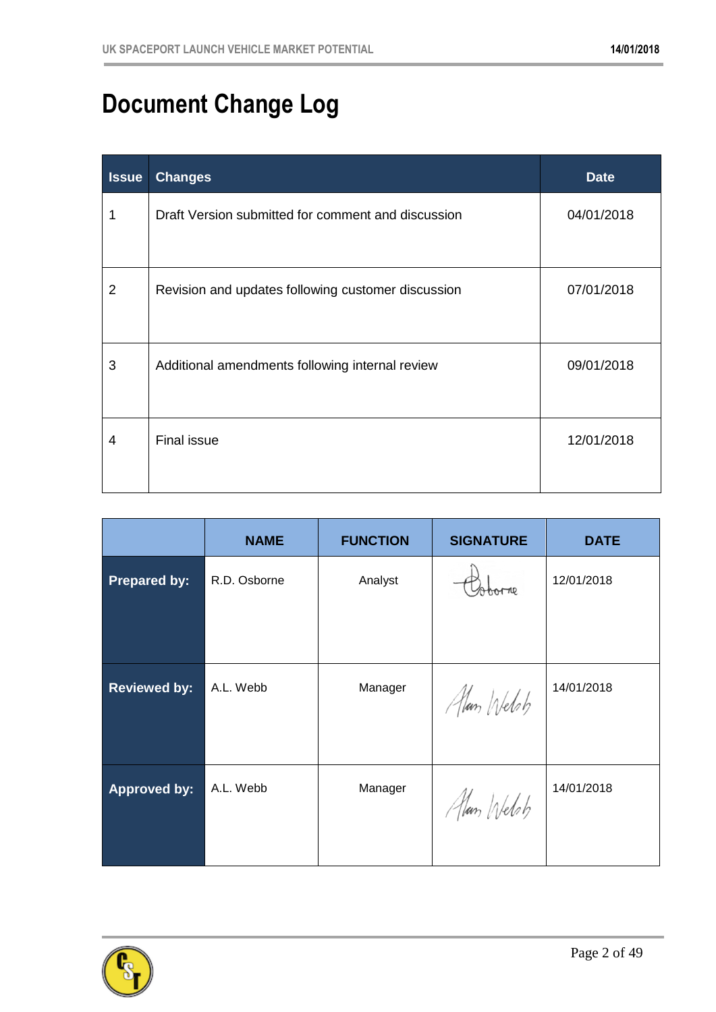## **Document Change Log**

| <b>Issue</b> | <b>Changes</b>                                     | <b>Date</b> |
|--------------|----------------------------------------------------|-------------|
| 1            | Draft Version submitted for comment and discussion | 04/01/2018  |
| 2            | Revision and updates following customer discussion | 07/01/2018  |
| 3            | Additional amendments following internal review    | 09/01/2018  |
| 4            | <b>Final issue</b>                                 | 12/01/2018  |

|                     | <b>NAME</b>  | <b>FUNCTION</b> | <b>SIGNATURE</b> | <b>DATE</b> |
|---------------------|--------------|-----------------|------------------|-------------|
| <b>Prepared by:</b> | R.D. Osborne | Analyst         |                  | 12/01/2018  |
|                     |              |                 |                  |             |
| <b>Reviewed by:</b> | A.L. Webb    | Manager         | Alan Welsh       | 14/01/2018  |
|                     |              |                 |                  |             |
| <b>Approved by:</b> | A.L. Webb    | Manager         | Alan Webs        | 14/01/2018  |
|                     |              |                 |                  |             |

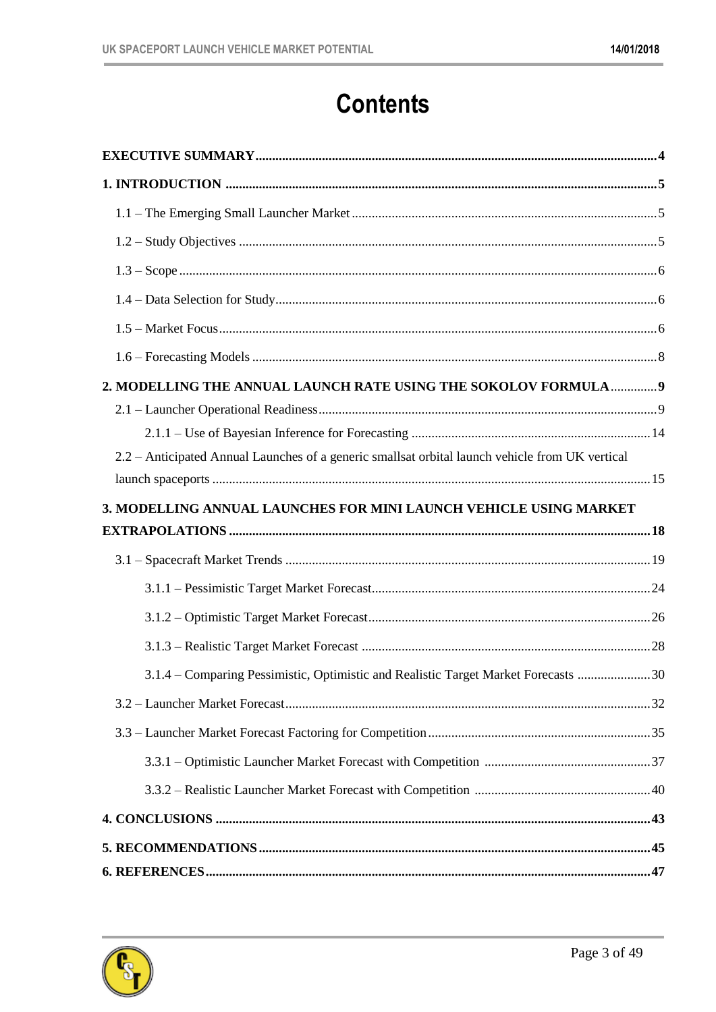#### **Contents**

| 2. MODELLING THE ANNUAL LAUNCH RATE USING THE SOKOLOV FORMULA 9                                 |  |
|-------------------------------------------------------------------------------------------------|--|
|                                                                                                 |  |
|                                                                                                 |  |
| 2.2 – Anticipated Annual Launches of a generic smallsat orbital launch vehicle from UK vertical |  |
|                                                                                                 |  |
| 3. MODELLING ANNUAL LAUNCHES FOR MINI LAUNCH VEHICLE USING MARKET                               |  |
|                                                                                                 |  |
|                                                                                                 |  |
|                                                                                                 |  |
|                                                                                                 |  |
|                                                                                                 |  |
|                                                                                                 |  |
| 3.1.4 – Comparing Pessimistic, Optimistic and Realistic Target Market Forecasts 30              |  |
|                                                                                                 |  |
|                                                                                                 |  |
|                                                                                                 |  |
|                                                                                                 |  |
|                                                                                                 |  |
|                                                                                                 |  |

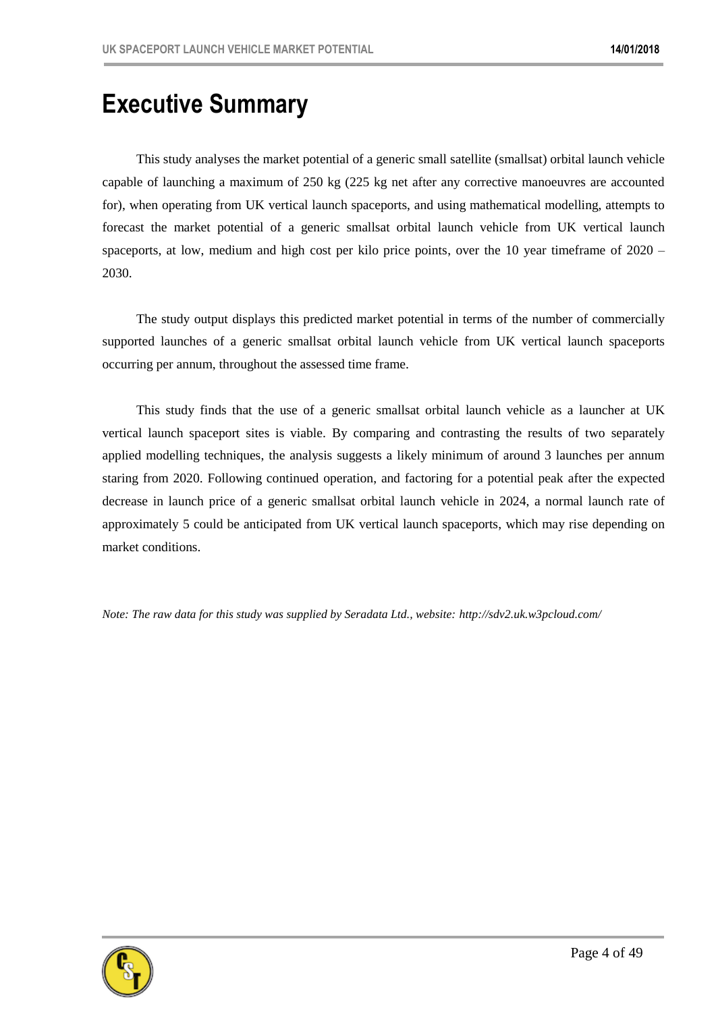#### **Executive Summary**

This study analyses the market potential of a generic small satellite (smallsat) orbital launch vehicle capable of launching a maximum of 250 kg (225 kg net after any corrective manoeuvres are accounted for), when operating from UK vertical launch spaceports, and using mathematical modelling, attempts to forecast the market potential of a generic smallsat orbital launch vehicle from UK vertical launch spaceports, at low, medium and high cost per kilo price points, over the 10 year timeframe of 2020 – 2030.

The study output displays this predicted market potential in terms of the number of commercially supported launches of a generic smallsat orbital launch vehicle from UK vertical launch spaceports occurring per annum, throughout the assessed time frame.

This study finds that the use of a generic smallsat orbital launch vehicle as a launcher at UK vertical launch spaceport sites is viable. By comparing and contrasting the results of two separately applied modelling techniques, the analysis suggests a likely minimum of around 3 launches per annum staring from 2020. Following continued operation, and factoring for a potential peak after the expected decrease in launch price of a generic smallsat orbital launch vehicle in 2024, a normal launch rate of approximately 5 could be anticipated from UK vertical launch spaceports, which may rise depending on market conditions.

*Note: The raw data for this study was supplied by Seradata Ltd., website: http://sdv2.uk.w3pcloud.com/* 

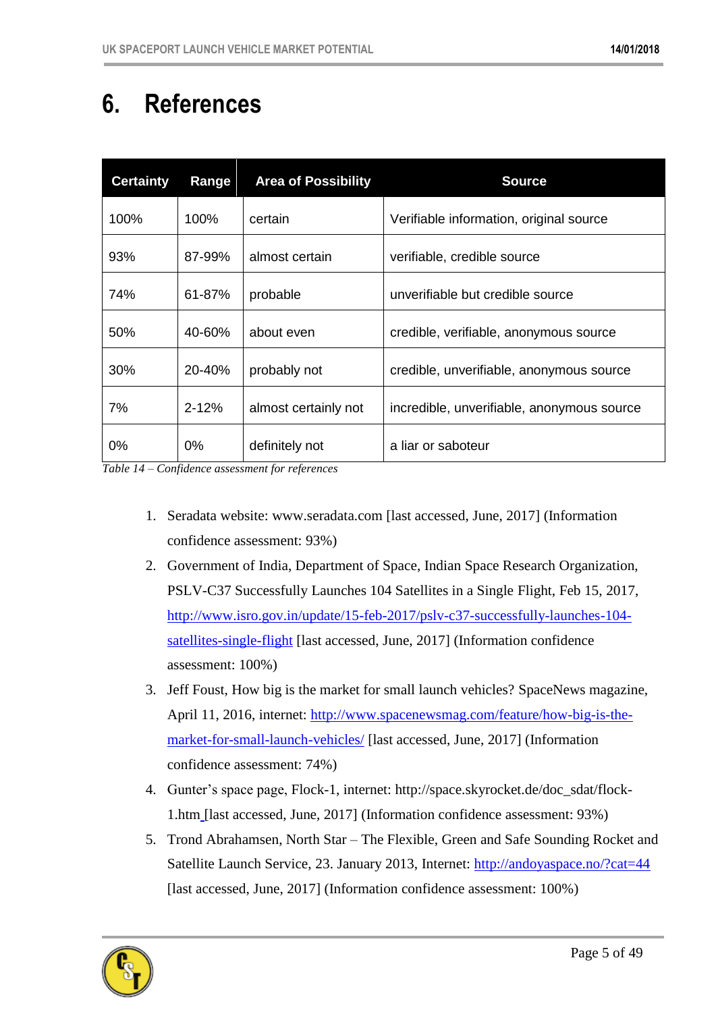### **6. References**

| <b>Certainty</b> | Range     | <b>Area of Possibility</b> | <b>Source</b>                              |
|------------------|-----------|----------------------------|--------------------------------------------|
| 100%             | 100%      | certain                    | Verifiable information, original source    |
| 93%              | 87-99%    | almost certain             | verifiable, credible source                |
| 74%              | 61-87%    | probable                   | unverifiable but credible source           |
| 50%              | 40-60%    | about even                 | credible, verifiable, anonymous source     |
| 30%              | 20-40%    | probably not               | credible, unverifiable, anonymous source   |
| 7%               | $2 - 12%$ | almost certainly not       | incredible, unverifiable, anonymous source |
| $0\%$            | $0\%$     | definitely not             | a liar or saboteur                         |

*Table 14 – Confidence assessment for references*

- 1. Seradata website: www.seradata.com [last accessed, June, 2017] (Information confidence assessment: 93%)
- 2. Government of India, Department of Space, Indian Space Research Organization, PSLV-C37 Successfully Launches 104 Satellites in a Single Flight, Feb 15, 2017, [http://www.isro.gov.in/update/15-feb-2017/pslv-c37-successfully-launches-104](http://www.isro.gov.in/update/15-feb-2017/pslv-c37-successfully-launches-104-satellites-single-flight) [satellites-single-flight](http://www.isro.gov.in/update/15-feb-2017/pslv-c37-successfully-launches-104-satellites-single-flight) [last accessed, June, 2017] (Information confidence assessment: 100%)
- 3. Jeff Foust, How big is the market for small launch vehicles? SpaceNews magazine, April 11, 2016, internet: [http://www.spacenewsmag.com/feature/how-big-is-the](http://www.spacenewsmag.com/feature/how-big-is-the-market-for-small-launch-vehicles/)[market-for-small-launch-vehicles/](http://www.spacenewsmag.com/feature/how-big-is-the-market-for-small-launch-vehicles/) [last accessed, June, 2017] (Information confidence assessment: 74%)
- 4. Gunter's space page, Flock-1, internet: http://space.skyrocket.de/doc\_sdat/flock-1.htm [last accessed, June, 2017] (Information confidence assessment: 93%)
- 5. Trond Abrahamsen, North Star The Flexible, Green and Safe Sounding Rocket and Satellite Launch Service, 23. January 2013, Internet: http://andoyaspace.no/?cat=44 [last accessed, June, 2017] (Information confidence assessment: 100%)

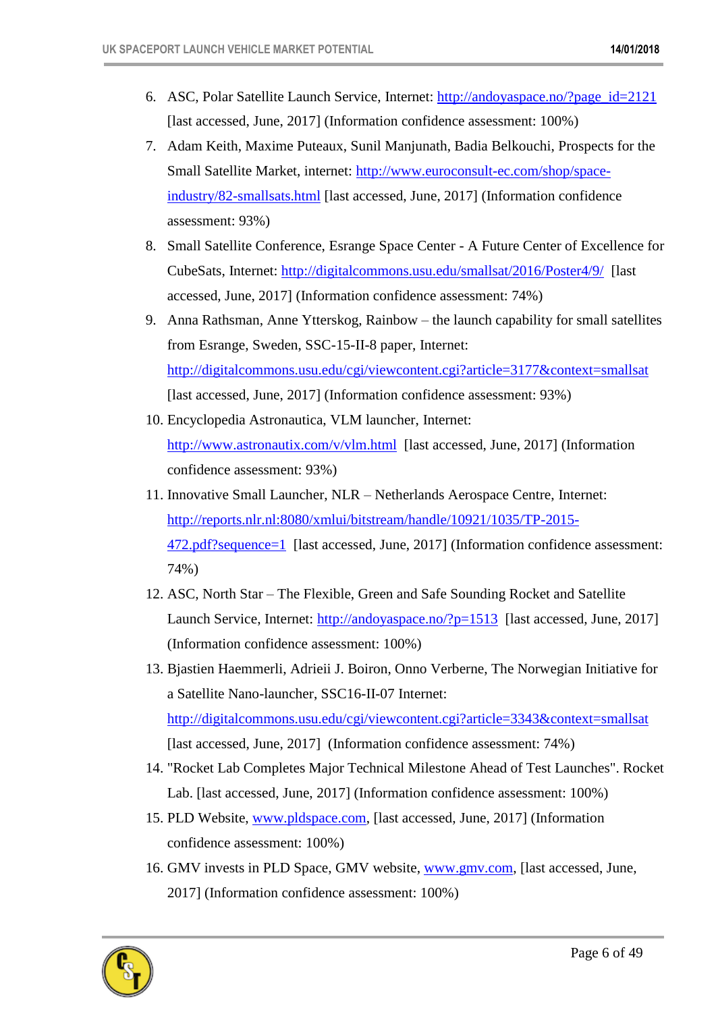- 6. ASC, Polar Satellite Launch Service, Internet: http://andoyaspace.no/?page\_id=2121 [last accessed, June, 2017] (Information confidence assessment: 100%)
- 7. Adam Keith, Maxime Puteaux, Sunil Manjunath, Badia Belkouchi, Prospects for the Small Satellite Market, internet: http://www.euroconsult-ec.com/shop/spaceindustry/82-smallsats.html [last accessed, June, 2017] (Information confidence assessment: 93%)
- 8. Small Satellite Conference, Esrange Space Center A Future Center of Excellence for CubeSats, Internet: http://digitalcommons.usu.edu/smallsat/2016/Poster4/9/ [last accessed, June, 2017] (Information confidence assessment: 74%)
- 9. Anna Rathsman, Anne Ytterskog, Rainbow the launch capability for small satellites from Esrange, Sweden, SSC-15-II-8 paper, Internet: http://digitalcommons.usu.edu/cgi/viewcontent.cgi?article=3177&context=smallsat [last accessed, June, 2017] (Information confidence assessment: 93%)
- 10. Encyclopedia Astronautica, VLM launcher, Internet: http://www.astronautix.com/v/vlm.html [last accessed, June, 2017] (Information confidence assessment: 93%)
- 11. Innovative Small Launcher, NLR Netherlands Aerospace Centre, Internet: http://reports.nlr.nl:8080/xmlui/bitstream/handle/10921/1035/TP-2015- 472.pdf?sequence=1 [last accessed, June, 2017] (Information confidence assessment: 74%)
- 12. ASC, North Star The Flexible, Green and Safe Sounding Rocket and Satellite Launch Service, Internet: http://andoyaspace.no/?p=1513 [last accessed, June, 2017] (Information confidence assessment: 100%)
- 13. Bjastien Haemmerli, Adrieii J. Boiron, Onno Verberne, The Norwegian Initiative for a Satellite Nano-launcher, SSC16-II-07 Internet: http://digitalcommons.usu.edu/cgi/viewcontent.cgi?article=3343&context=smallsat [last accessed, June, 2017] (Information confidence assessment: 74%)
- 14. "Rocket Lab Completes Major Technical Milestone Ahead of Test Launches". Rocket Lab. [last accessed, June, 2017] (Information confidence assessment: 100%)
- 15. PLD Website, www.pldspace.com, [last accessed, June, 2017] (Information confidence assessment: 100%)
- 16. GMV invests in PLD Space, GMV website, www.gmv.com, [last accessed, June, 2017] (Information confidence assessment: 100%)